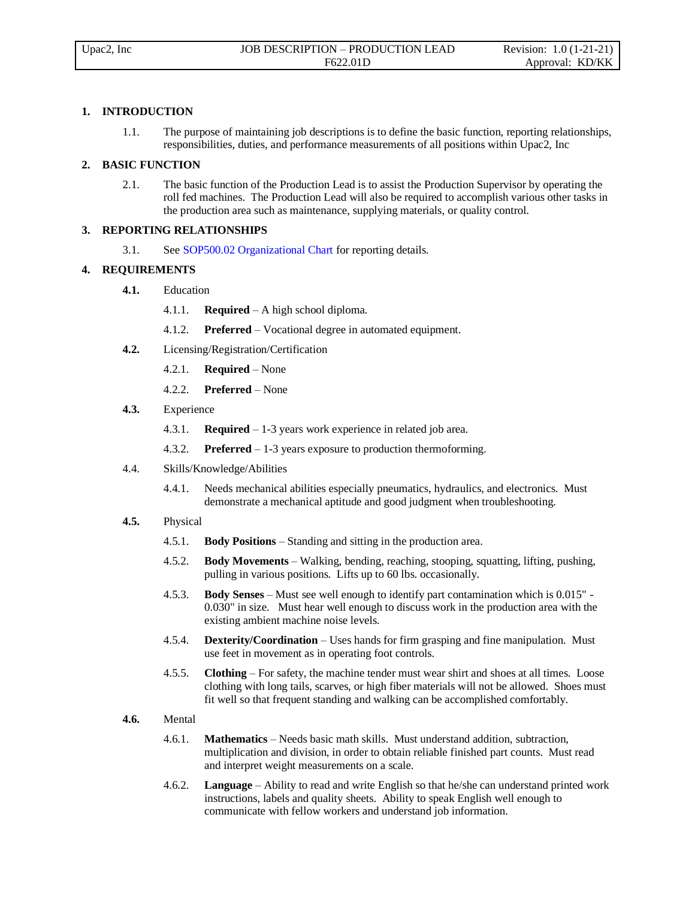# **1. INTRODUCTION**

1.1. The purpose of maintaining job descriptions is to define the basic function, reporting relationships, responsibilities, duties, and performance measurements of all positions within Upac2, Inc

### **2. BASIC FUNCTION**

2.1. The basic function of the Production Lead is to assist the Production Supervisor by operating the roll fed machines. The Production Lead will also be required to accomplish various other tasks in the production area such as maintenance, supplying materials, or quality control.

## **3. REPORTING RELATIONSHIPS**

3.1. See SOP500.02 Organizational Chart for reporting details.

#### **4. REQUIREMENTS**

- **4.1.** Education
	- 4.1.1. **Required** A high school diploma.
	- 4.1.2. **Preferred** Vocational degree in automated equipment.
- **4.2.** Licensing/Registration/Certification
	- 4.2.1. **Required** None
	- 4.2.2. **Preferred** None
- **4.3.** Experience
	- 4.3.1. **Required** 1-3 years work experience in related job area.
	- 4.3.2. **Preferred** 1-3 years exposure to production thermoforming.
- 4.4. Skills/Knowledge/Abilities
	- 4.4.1. Needs mechanical abilities especially pneumatics, hydraulics, and electronics. Must demonstrate a mechanical aptitude and good judgment when troubleshooting.
- **4.5.** Physical
	- 4.5.1. **Body Positions** Standing and sitting in the production area.
	- 4.5.2. **Body Movements** Walking, bending, reaching, stooping, squatting, lifting, pushing, pulling in various positions. Lifts up to 60 lbs. occasionally.
	- 4.5.3. **Body Senses** Must see well enough to identify part contamination which is 0.015" 0.030" in size. Must hear well enough to discuss work in the production area with the existing ambient machine noise levels.
	- 4.5.4. **Dexterity/Coordination** Uses hands for firm grasping and fine manipulation. Must use feet in movement as in operating foot controls.
	- 4.5.5. **Clothing** For safety, the machine tender must wear shirt and shoes at all times. Loose clothing with long tails, scarves, or high fiber materials will not be allowed. Shoes must fit well so that frequent standing and walking can be accomplished comfortably.
- **4.6.** Mental
	- 4.6.1. **Mathematics** Needs basic math skills. Must understand addition, subtraction, multiplication and division, in order to obtain reliable finished part counts. Must read and interpret weight measurements on a scale.
	- 4.6.2. **Language** Ability to read and write English so that he/she can understand printed work instructions, labels and quality sheets. Ability to speak English well enough to communicate with fellow workers and understand job information.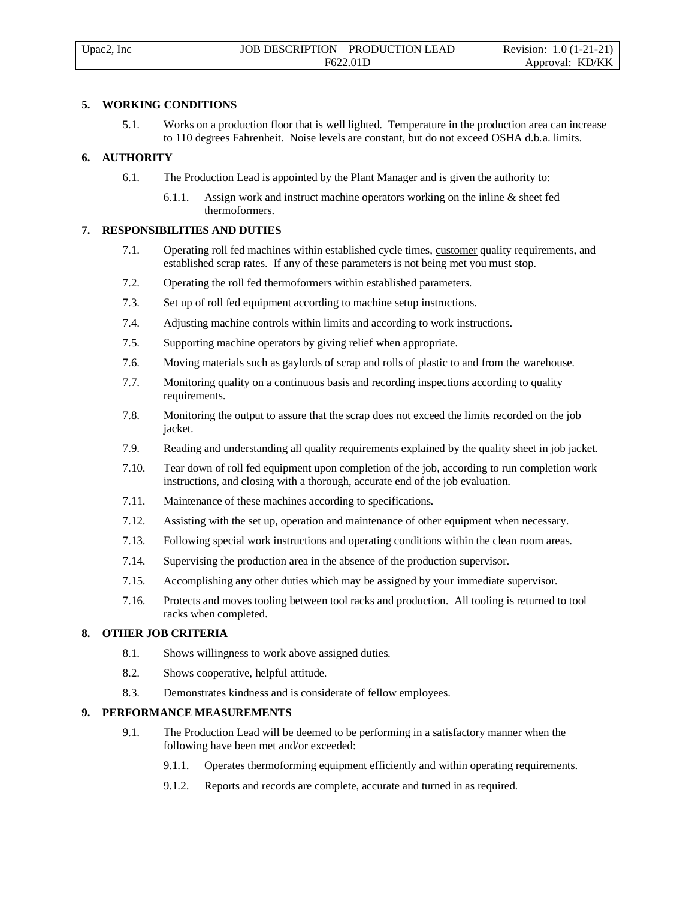# **5. WORKING CONDITIONS**

5.1. Works on a production floor that is well lighted. Temperature in the production area can increase to 110 degrees Fahrenheit. Noise levels are constant, but do not exceed OSHA d.b.a. limits.

### **6. AUTHORITY**

- 6.1. The Production Lead is appointed by the Plant Manager and is given the authority to:
	- 6.1.1. Assign work and instruct machine operators working on the inline & sheet fed thermoformers.

#### **7. RESPONSIBILITIES AND DUTIES**

- 7.1. Operating roll fed machines within established cycle times, customer quality requirements, and established scrap rates. If any of these parameters is not being met you must stop.
- 7.2. Operating the roll fed thermoformers within established parameters.
- 7.3. Set up of roll fed equipment according to machine setup instructions.
- 7.4. Adjusting machine controls within limits and according to work instructions.
- 7.5. Supporting machine operators by giving relief when appropriate.
- 7.6. Moving materials such as gaylords of scrap and rolls of plastic to and from the warehouse.
- 7.7. Monitoring quality on a continuous basis and recording inspections according to quality requirements.
- 7.8. Monitoring the output to assure that the scrap does not exceed the limits recorded on the job jacket.
- 7.9. Reading and understanding all quality requirements explained by the quality sheet in job jacket.
- 7.10. Tear down of roll fed equipment upon completion of the job, according to run completion work instructions, and closing with a thorough, accurate end of the job evaluation.
- 7.11. Maintenance of these machines according to specifications.
- 7.12. Assisting with the set up, operation and maintenance of other equipment when necessary.
- 7.13. Following special work instructions and operating conditions within the clean room areas.
- 7.14. Supervising the production area in the absence of the production supervisor.
- 7.15. Accomplishing any other duties which may be assigned by your immediate supervisor.
- 7.16. Protects and moves tooling between tool racks and production. All tooling is returned to tool racks when completed.

# **8. OTHER JOB CRITERIA**

- 8.1. Shows willingness to work above assigned duties.
- 8.2. Shows cooperative, helpful attitude.
- 8.3. Demonstrates kindness and is considerate of fellow employees.

#### **9. PERFORMANCE MEASUREMENTS**

- 9.1. The Production Lead will be deemed to be performing in a satisfactory manner when the following have been met and/or exceeded:
	- 9.1.1. Operates thermoforming equipment efficiently and within operating requirements.
	- 9.1.2. Reports and records are complete, accurate and turned in as required.